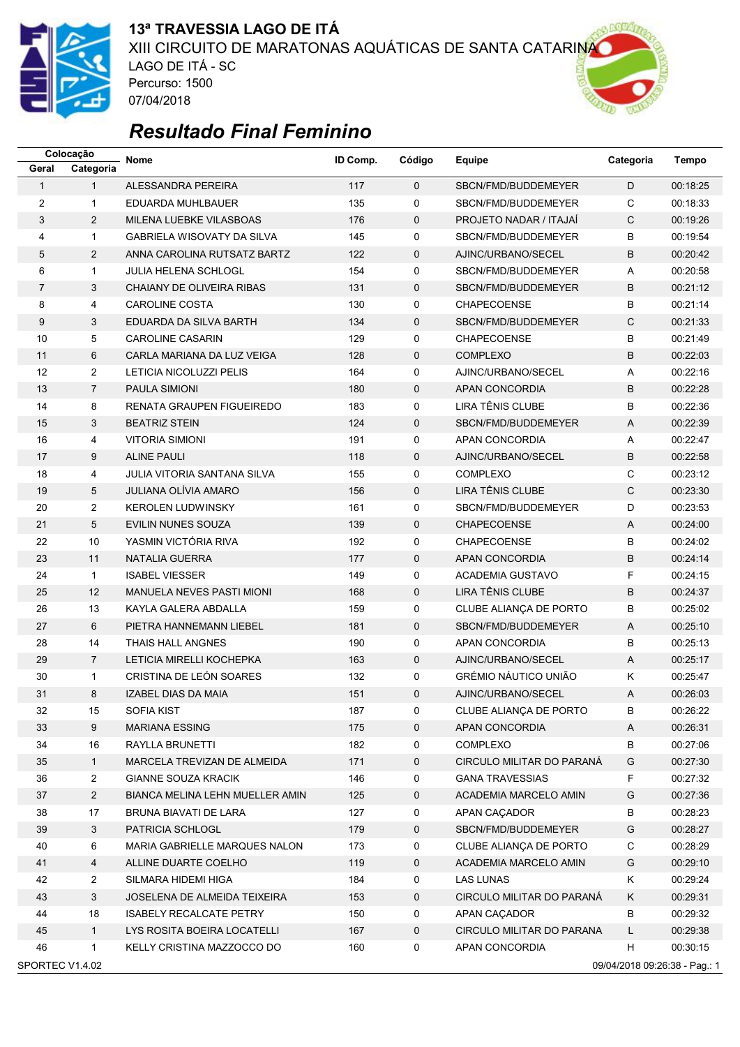

### **13ª TRAVESSIA LAGO DE ITÁ** XIII CIRCUITO DE MARATONAS AQUÁTICAS DE SANTA CATARINA LAGO DE ITÁ - SC Percurso: 1500 07/04/2018

# *Resultado Final Feminino*

|                                                  | Colocação      | <b>Nome</b>                            | ID Comp. | Código      | Equipe                        | Categoria      | <b>Tempo</b> |  |  |
|--------------------------------------------------|----------------|----------------------------------------|----------|-------------|-------------------------------|----------------|--------------|--|--|
| Geral                                            | Categoria      |                                        |          |             |                               |                |              |  |  |
| $\mathbf{1}$                                     | $\mathbf{1}$   | ALESSANDRA PEREIRA                     | 117      | $\Omega$    | SBCN/FMD/BUDDEMEYER           | D              | 00:18:25     |  |  |
| 2                                                | $\mathbf{1}$   | EDUARDA MUHLBAUER                      | 135      | 0           | SBCN/FMD/BUDDEMEYER           | C              | 00:18:33     |  |  |
| 3                                                | $\overline{2}$ | MILENA LUEBKE VILASBOAS                | 176      | $\mathbf 0$ | <b>PROJETO NADAR / ITAJAI</b> | C              | 00:19:26     |  |  |
| 4                                                | $\mathbf{1}$   | GABRIELA WISOVATY DA SILVA             | 145      | 0           | SBCN/FMD/BUDDEMEYER           | В              | 00:19:54     |  |  |
| 5                                                | $\overline{2}$ | ANNA CAROLINA RUTSATZ BARTZ            | 122      | $\mathbf 0$ | AJINC/URBANO/SECEL            | B              | 00:20:42     |  |  |
| 6                                                | $\mathbf{1}$   | JULIA HELENA SCHLOGL                   | 154      | 0           | SBCN/FMD/BUDDEMEYER           | Α              | 00:20:58     |  |  |
| $\overline{7}$                                   | 3              | CHAIANY DE OLIVEIRA RIBAS              | 131      | $\mathbf 0$ | SBCN/FMD/BUDDEMEYER           | B              | 00:21:12     |  |  |
| 8                                                | 4              | <b>CAROLINE COSTA</b>                  | 130      | 0           | <b>CHAPECOENSE</b>            | B              | 00:21:14     |  |  |
| 9                                                | 3              | EDUARDA DA SILVA BARTH                 | 134      | 0           | SBCN/FMD/BUDDEMEYER           | C              | 00:21:33     |  |  |
| 10                                               | 5              | <b>CAROLINE CASARIN</b>                | 129      | 0           | <b>CHAPECOENSE</b>            | B              | 00:21:49     |  |  |
| 11                                               | 6              | CARLA MARIANA DA LUZ VEIGA             | 128      | $\mathbf 0$ | <b>COMPLEXO</b>               | B              | 00:22:03     |  |  |
| 12                                               | $\overline{2}$ | LETICIA NICOLUZZI PELIS                | 164      | 0           | AJINC/URBANO/SECEL            | Α              | 00:22:16     |  |  |
| 13                                               | $\overline{7}$ | <b>PAULA SIMIONI</b>                   | 180      | 0           | APAN CONCORDIA                | B              | 00:22:28     |  |  |
| 14                                               | 8              | RENATA GRAUPEN FIGUEIREDO              | 183      | 0           | LIRA TÊNIS CLUBE              | B              | 00:22:36     |  |  |
| 15                                               | 3              | <b>BEATRIZ STEIN</b>                   | 124      | $\mathbf 0$ | SBCN/FMD/BUDDEMEYER           | A              | 00:22:39     |  |  |
| 16                                               | 4              | <b>VITORIA SIMIONI</b>                 | 191      | 0           | <b>APAN CONCORDIA</b>         | Α              | 00:22:47     |  |  |
| 17                                               | 9              | <b>ALINE PAULI</b>                     | 118      | $\mathbf 0$ | AJINC/URBANO/SECEL            | B              | 00:22:58     |  |  |
| 18                                               | 4              | JULIA VITORIA SANTANA SILVA            | 155      | 0           | <b>COMPLEXO</b>               | C              | 00:23:12     |  |  |
| 19                                               | 5              | <b>JULIANA OLÍVIA AMARO</b>            | 156      | $\mathbf 0$ | LIRA TÊNIS CLUBE              | C              | 00:23:30     |  |  |
| 20                                               | $\overline{2}$ | <b>KEROLEN LUDWINSKY</b>               | 161      | 0           | SBCN/FMD/BUDDEMEYER           | D              | 00:23:53     |  |  |
| 21                                               | $\,$ 5 $\,$    | EVILIN NUNES SOUZA                     | 139      | 0           | CHAPECOENSE                   | Α              | 00:24:00     |  |  |
| 22                                               | 10             | YASMIN VICTÓRIA RIVA                   | 192      | 0           | <b>CHAPECOENSE</b>            | B              | 00:24:02     |  |  |
| 23                                               | 11             | <b>NATALIA GUERRA</b>                  | 177      | $\mathbf 0$ | APAN CONCORDIA                | B              | 00:24:14     |  |  |
| 24                                               | $\mathbf{1}$   | <b>ISABEL VIESSER</b>                  | 149      | 0           | <b>ACADEMIA GUSTAVO</b>       | F              | 00:24:15     |  |  |
| 25                                               | 12             | MANUELA NEVES PASTI MIONI              | 168      | $\mathbf 0$ | LIRA TÊNIS CLUBE              | B              | 00:24:37     |  |  |
| 26                                               | 13             | KAYLA GALERA ABDALLA                   | 159      | 0           | CLUBE ALIANÇA DE PORTO        | В              | 00:25:02     |  |  |
| 27                                               | 6              | PIETRA HANNEMANN LIEBEL                | 181      | $\mathbf 0$ | SBCN/FMD/BUDDEMEYER           | $\overline{A}$ | 00:25:10     |  |  |
| 28                                               | 14             | THAIS HALL ANGNES                      | 190      | 0           | APAN CONCORDIA                | B              | 00:25:13     |  |  |
| 29                                               | $\overline{7}$ | LETICIA MIRELLI KOCHEPKA               | 163      | $\mathbf 0$ | AJINC/URBANO/SECEL            | A              | 00:25:17     |  |  |
| 30                                               | 1              | CRISTINA DE LEÓN SOARES                | 132      | 0           | GRÉMIO NÁUTICO UNIÃO          | Κ              | 00:25:47     |  |  |
| 31                                               | 8              | IZABEL DIAS DA MAIA                    | 151      | $\Omega$    | AJINC/URBANO/SECEL            | A              | 00:26:03     |  |  |
| 32                                               | 15             | SOFIA KIST                             | 187      | 0           | CLUBE ALIANÇA DE PORTO        | в              | 00:26:22     |  |  |
| 33                                               | 9              | <b>MARIANA ESSING</b>                  | 175      | 0           | APAN CONCORDIA                | Α              | 00:26:31     |  |  |
| 34                                               | 16             | RAYLLA BRUNETTI                        | 182      | 0           | <b>COMPLEXO</b>               | В              | 00:27:06     |  |  |
| 35                                               | $\mathbf{1}$   | MARCELA TREVIZAN DE ALMEIDA            | 171      | 0           | CIRCULO MILITAR DO PARANÁ     | G              | 00:27:30     |  |  |
| 36                                               | $\overline{a}$ | <b>GIANNE SOUZA KRACIK</b>             | 146      | 0           | <b>GANA TRAVESSIAS</b>        | F              | 00:27:32     |  |  |
| 37                                               | $\overline{a}$ | <b>BIANCA MELINA LEHN MUELLER AMIN</b> | 125      | 0           | ACADEMIA MARCELO AMIN         | G              | 00:27:36     |  |  |
| 38                                               | 17             | BRUNA BIAVATI DE LARA                  | 127      | 0           | APAN CAÇADOR                  | В              | 00:28:23     |  |  |
| 39                                               | 3              | PATRICIA SCHLOGL                       | 179      | 0           | SBCN/FMD/BUDDEMEYER           | G              | 00:28:27     |  |  |
| 40                                               | 6              | MARIA GABRIELLE MARQUES NALON          | 173      | 0           | CLUBE ALIANÇA DE PORTO        | С              | 00:28:29     |  |  |
| 41                                               | 4              | ALLINE DUARTE COELHO                   | 119      | 0           | ACADEMIA MARCELO AMIN         | G              | 00:29:10     |  |  |
| 42                                               | $\mathbf{2}$   | SILMARA HIDEMI HIGA                    | 184      | 0           | LAS LUNAS                     | Κ              | 00:29:24     |  |  |
| 43                                               | 3              | JOSELENA DE ALMEIDA TEIXEIRA           | 153      | 0           | CIRCULO MILITAR DO PARANÁ     | Κ              | 00:29:31     |  |  |
| 44                                               | 18             | <b>ISABELY RECALCATE PETRY</b>         | 150      | 0           | APAN CAÇADOR                  | B              | 00:29:32     |  |  |
| 45                                               | $\mathbf{1}$   | LYS ROSITA BOEIRA LOCATELLI            | 167      | 0           | CIRCULO MILITAR DO PARANA     | L              | 00:29:38     |  |  |
| 46                                               | $\mathbf{1}$   | KELLY CRISTINA MAZZOCCO DO             | 160      | 0           | APAN CONCORDIA                | H              | 00:30:15     |  |  |
| SPORTEC V1.4.02<br>09/04/2018 09:26:38 - Pag.: 1 |                |                                        |          |             |                               |                |              |  |  |